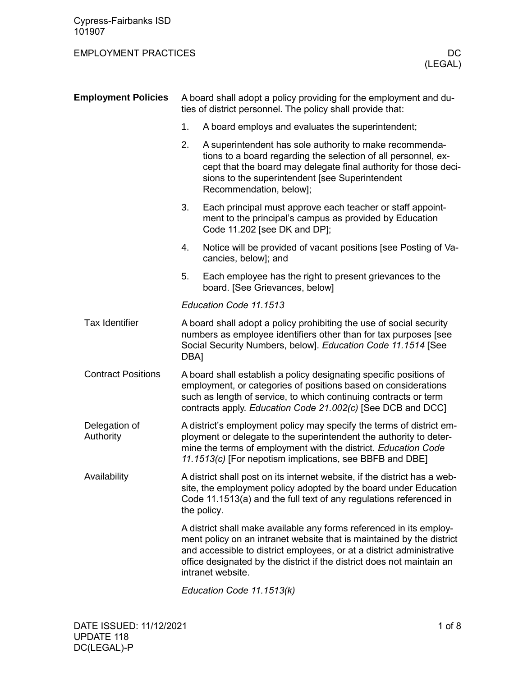## EMPLOYMENT PRACTICES DC

| <b>Employment Policies</b> | A board shall adopt a policy providing for the employment and du-<br>ties of district personnel. The policy shall provide that:                                                                                                                                          |                                                                                                                                                                                                                                                                                                                      |  |  |  |
|----------------------------|--------------------------------------------------------------------------------------------------------------------------------------------------------------------------------------------------------------------------------------------------------------------------|----------------------------------------------------------------------------------------------------------------------------------------------------------------------------------------------------------------------------------------------------------------------------------------------------------------------|--|--|--|
|                            | 1.                                                                                                                                                                                                                                                                       | A board employs and evaluates the superintendent;                                                                                                                                                                                                                                                                    |  |  |  |
|                            | 2.                                                                                                                                                                                                                                                                       | A superintendent has sole authority to make recommenda-<br>tions to a board regarding the selection of all personnel, ex-<br>cept that the board may delegate final authority for those deci-<br>sions to the superintendent [see Superintendent<br>Recommendation, below];                                          |  |  |  |
|                            | 3.                                                                                                                                                                                                                                                                       | Each principal must approve each teacher or staff appoint-<br>ment to the principal's campus as provided by Education<br>Code 11.202 [see DK and DP];                                                                                                                                                                |  |  |  |
|                            | 4.                                                                                                                                                                                                                                                                       | Notice will be provided of vacant positions [see Posting of Va-<br>cancies, below]; and                                                                                                                                                                                                                              |  |  |  |
|                            | 5.                                                                                                                                                                                                                                                                       | Each employee has the right to present grievances to the<br>board. [See Grievances, below]                                                                                                                                                                                                                           |  |  |  |
|                            |                                                                                                                                                                                                                                                                          | Education Code 11.1513                                                                                                                                                                                                                                                                                               |  |  |  |
| <b>Tax Identifier</b>      | A board shall adopt a policy prohibiting the use of social security<br>numbers as employee identifiers other than for tax purposes [see<br>Social Security Numbers, below]. Education Code 11.1514 [See<br>DBA]                                                          |                                                                                                                                                                                                                                                                                                                      |  |  |  |
| <b>Contract Positions</b>  | A board shall establish a policy designating specific positions of<br>employment, or categories of positions based on considerations<br>such as length of service, to which continuing contracts or term<br>contracts apply. Education Code 21.002(c) [See DCB and DCC]  |                                                                                                                                                                                                                                                                                                                      |  |  |  |
| Delegation of<br>Authority | A district's employment policy may specify the terms of district em-<br>ployment or delegate to the superintendent the authority to deter-<br>mine the terms of employment with the district. Education Code<br>11.1513(c) [For nepotism implications, see BBFB and DBE] |                                                                                                                                                                                                                                                                                                                      |  |  |  |
| Availability               | A district shall post on its internet website, if the district has a web-<br>site, the employment policy adopted by the board under Education<br>Code 11.1513(a) and the full text of any regulations referenced in<br>the policy.                                       |                                                                                                                                                                                                                                                                                                                      |  |  |  |
|                            |                                                                                                                                                                                                                                                                          | A district shall make available any forms referenced in its employ-<br>ment policy on an intranet website that is maintained by the district<br>and accessible to district employees, or at a district administrative<br>office designated by the district if the district does not maintain an<br>intranet website. |  |  |  |
|                            |                                                                                                                                                                                                                                                                          | Education Code 11.1513(k)                                                                                                                                                                                                                                                                                            |  |  |  |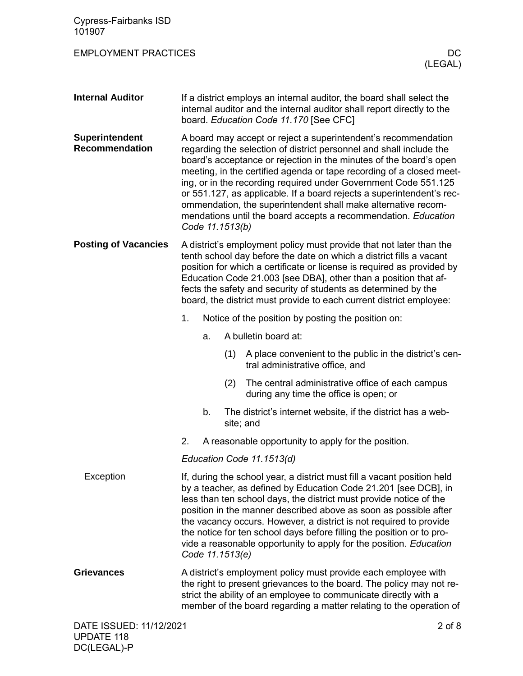| <b>Cypress-Fairbanks ISD</b><br>101907  |                                                                                                                                                                                                                                                                                                                                                                                                                                                                                                                              |    |                 |                                                                                                                                                                                                                                                                                                                                                                                                                                                                                                                                                                    |
|-----------------------------------------|------------------------------------------------------------------------------------------------------------------------------------------------------------------------------------------------------------------------------------------------------------------------------------------------------------------------------------------------------------------------------------------------------------------------------------------------------------------------------------------------------------------------------|----|-----------------|--------------------------------------------------------------------------------------------------------------------------------------------------------------------------------------------------------------------------------------------------------------------------------------------------------------------------------------------------------------------------------------------------------------------------------------------------------------------------------------------------------------------------------------------------------------------|
| <b>EMPLOYMENT PRACTICES</b>             |                                                                                                                                                                                                                                                                                                                                                                                                                                                                                                                              |    |                 | DC.<br>(LEGAL)                                                                                                                                                                                                                                                                                                                                                                                                                                                                                                                                                     |
| <b>Internal Auditor</b>                 |                                                                                                                                                                                                                                                                                                                                                                                                                                                                                                                              |    |                 | If a district employs an internal auditor, the board shall select the<br>internal auditor and the internal auditor shall report directly to the<br>board. Education Code 11.170 [See CFC]                                                                                                                                                                                                                                                                                                                                                                          |
| Superintendent<br><b>Recommendation</b> |                                                                                                                                                                                                                                                                                                                                                                                                                                                                                                                              |    | Code 11.1513(b) | A board may accept or reject a superintendent's recommendation<br>regarding the selection of district personnel and shall include the<br>board's acceptance or rejection in the minutes of the board's open<br>meeting, in the certified agenda or tape recording of a closed meet-<br>ing, or in the recording required under Government Code 551.125<br>or 551.127, as applicable. If a board rejects a superintendent's rec-<br>ommendation, the superintendent shall make alternative recom-<br>mendations until the board accepts a recommendation. Education |
| <b>Posting of Vacancies</b>             | A district's employment policy must provide that not later than the<br>tenth school day before the date on which a district fills a vacant<br>position for which a certificate or license is required as provided by<br>Education Code 21.003 [see DBA], other than a position that af-<br>fects the safety and security of students as determined by the<br>board, the district must provide to each current district employee:                                                                                             |    |                 |                                                                                                                                                                                                                                                                                                                                                                                                                                                                                                                                                                    |
|                                         | 1.                                                                                                                                                                                                                                                                                                                                                                                                                                                                                                                           |    |                 | Notice of the position by posting the position on:                                                                                                                                                                                                                                                                                                                                                                                                                                                                                                                 |
|                                         |                                                                                                                                                                                                                                                                                                                                                                                                                                                                                                                              | a. |                 | A bulletin board at:                                                                                                                                                                                                                                                                                                                                                                                                                                                                                                                                               |
|                                         |                                                                                                                                                                                                                                                                                                                                                                                                                                                                                                                              |    | (1)             | A place convenient to the public in the district's cen-<br>tral administrative office, and                                                                                                                                                                                                                                                                                                                                                                                                                                                                         |
|                                         |                                                                                                                                                                                                                                                                                                                                                                                                                                                                                                                              |    | (2)             | The central administrative office of each campus<br>during any time the office is open; or                                                                                                                                                                                                                                                                                                                                                                                                                                                                         |
|                                         |                                                                                                                                                                                                                                                                                                                                                                                                                                                                                                                              | b. |                 | The district's internet website, if the district has a web-<br>site; and                                                                                                                                                                                                                                                                                                                                                                                                                                                                                           |
|                                         | 2.                                                                                                                                                                                                                                                                                                                                                                                                                                                                                                                           |    |                 | A reasonable opportunity to apply for the position.                                                                                                                                                                                                                                                                                                                                                                                                                                                                                                                |
|                                         |                                                                                                                                                                                                                                                                                                                                                                                                                                                                                                                              |    |                 | Education Code 11.1513(d)                                                                                                                                                                                                                                                                                                                                                                                                                                                                                                                                          |
| Exception                               | If, during the school year, a district must fill a vacant position held<br>by a teacher, as defined by Education Code 21.201 [see DCB], in<br>less than ten school days, the district must provide notice of the<br>position in the manner described above as soon as possible after<br>the vacancy occurs. However, a district is not required to provide<br>the notice for ten school days before filling the position or to pro-<br>vide a reasonable opportunity to apply for the position. Education<br>Code 11.1513(e) |    |                 |                                                                                                                                                                                                                                                                                                                                                                                                                                                                                                                                                                    |
| <b>Grievances</b>                       | A district's employment policy must provide each employee with<br>the right to present grievances to the board. The policy may not re-<br>strict the ability of an employee to communicate directly with a<br>member of the board regarding a matter relating to the operation of                                                                                                                                                                                                                                            |    |                 |                                                                                                                                                                                                                                                                                                                                                                                                                                                                                                                                                                    |
| DATE ISSUED: 11/12/2021                 |                                                                                                                                                                                                                                                                                                                                                                                                                                                                                                                              |    |                 | $2$ of $8$                                                                                                                                                                                                                                                                                                                                                                                                                                                                                                                                                         |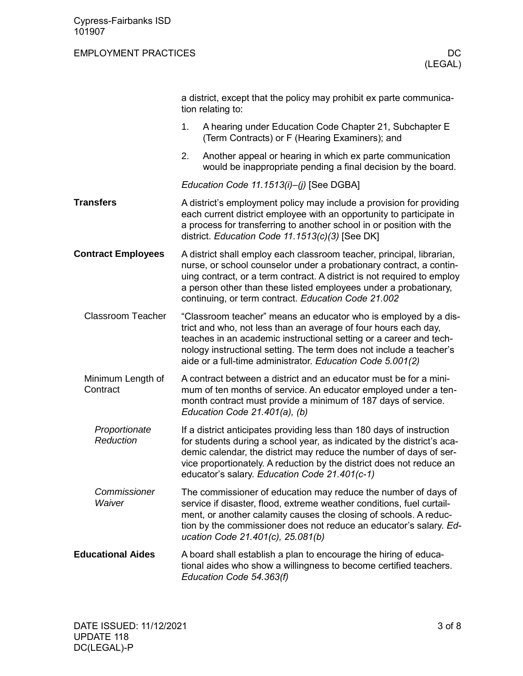## EMPLOYMENT PRACTICES DC

|                               |                                                                                                                                                                                                                                                                                                                                                | a district, except that the policy may prohibit ex parte communica-<br>tion relating to:                                                                                                                                                                                                                                                           |  |  |  |
|-------------------------------|------------------------------------------------------------------------------------------------------------------------------------------------------------------------------------------------------------------------------------------------------------------------------------------------------------------------------------------------|----------------------------------------------------------------------------------------------------------------------------------------------------------------------------------------------------------------------------------------------------------------------------------------------------------------------------------------------------|--|--|--|
|                               | 1.                                                                                                                                                                                                                                                                                                                                             | A hearing under Education Code Chapter 21, Subchapter E<br>(Term Contracts) or F (Hearing Examiners); and                                                                                                                                                                                                                                          |  |  |  |
|                               | 2.                                                                                                                                                                                                                                                                                                                                             | Another appeal or hearing in which ex parte communication<br>would be inappropriate pending a final decision by the board.                                                                                                                                                                                                                         |  |  |  |
|                               |                                                                                                                                                                                                                                                                                                                                                | Education Code 11.1513(i)-(j) [See DGBA]                                                                                                                                                                                                                                                                                                           |  |  |  |
| <b>Transfers</b>              |                                                                                                                                                                                                                                                                                                                                                | A district's employment policy may include a provision for providing<br>each current district employee with an opportunity to participate in<br>a process for transferring to another school in or position with the<br>district. Education Code 11.1513(c)(3) [See DK]                                                                            |  |  |  |
| <b>Contract Employees</b>     |                                                                                                                                                                                                                                                                                                                                                | A district shall employ each classroom teacher, principal, librarian,<br>nurse, or school counselor under a probationary contract, a contin-<br>uing contract, or a term contract. A district is not required to employ<br>a person other than these listed employees under a probationary,<br>continuing, or term contract. Education Code 21.002 |  |  |  |
| <b>Classroom Teacher</b>      | "Classroom teacher" means an educator who is employed by a dis-<br>trict and who, not less than an average of four hours each day,<br>teaches in an academic instructional setting or a career and tech-<br>nology instructional setting. The term does not include a teacher's<br>aide or a full-time administrator. Education Code 5.001(2)  |                                                                                                                                                                                                                                                                                                                                                    |  |  |  |
| Minimum Length of<br>Contract |                                                                                                                                                                                                                                                                                                                                                | A contract between a district and an educator must be for a mini-<br>mum of ten months of service. An educator employed under a ten-<br>month contract must provide a minimum of 187 days of service.<br>Education Code 21.401(a), (b)                                                                                                             |  |  |  |
| Proportionate<br>Reduction    | If a district anticipates providing less than 180 days of instruction<br>for students during a school year, as indicated by the district's aca-<br>demic calendar, the district may reduce the number of days of ser-<br>vice proportionately. A reduction by the district does not reduce an<br>educator's salary. Education Code 21.401(c-1) |                                                                                                                                                                                                                                                                                                                                                    |  |  |  |
| Commissioner<br>Waiver        | The commissioner of education may reduce the number of days of<br>service if disaster, flood, extreme weather conditions, fuel curtail-<br>ment, or another calamity causes the closing of schools. A reduc-<br>tion by the commissioner does not reduce an educator's salary. Ed-<br>ucation Code 21.401(c), 25.081(b)                        |                                                                                                                                                                                                                                                                                                                                                    |  |  |  |
| <b>Educational Aides</b>      |                                                                                                                                                                                                                                                                                                                                                | A board shall establish a plan to encourage the hiring of educa-<br>tional aides who show a willingness to become certified teachers.<br>Education Code 54.363(f)                                                                                                                                                                                  |  |  |  |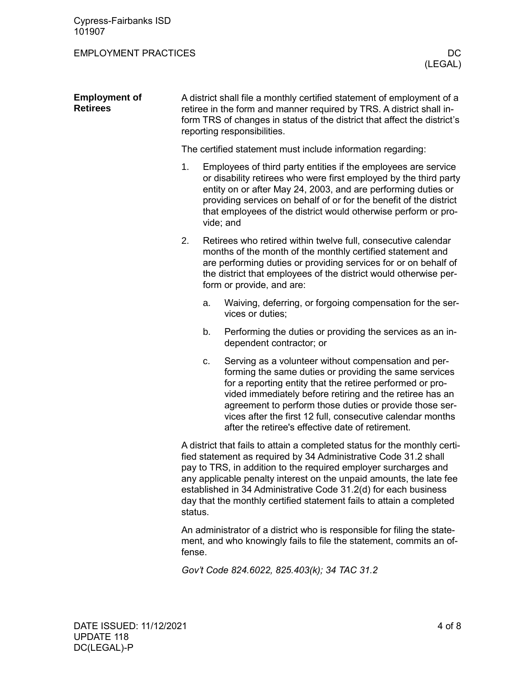Cypress-Fairbanks ISD 101907

## EMPLOYMENT PRACTICES DC

| <b>Employment of</b><br><b>Retirees</b> | A district shall file a monthly certified statement of employment of a<br>retiree in the form and manner required by TRS. A district shall in-<br>form TRS of changes in status of the district that affect the district's<br>reporting responsibilities.                                                                                                                                                                                    |    |                                                                                                                                                                                                                                                                                                                                                                                                                       |  |
|-----------------------------------------|----------------------------------------------------------------------------------------------------------------------------------------------------------------------------------------------------------------------------------------------------------------------------------------------------------------------------------------------------------------------------------------------------------------------------------------------|----|-----------------------------------------------------------------------------------------------------------------------------------------------------------------------------------------------------------------------------------------------------------------------------------------------------------------------------------------------------------------------------------------------------------------------|--|
|                                         |                                                                                                                                                                                                                                                                                                                                                                                                                                              |    | The certified statement must include information regarding:                                                                                                                                                                                                                                                                                                                                                           |  |
|                                         | 1.                                                                                                                                                                                                                                                                                                                                                                                                                                           |    | Employees of third party entities if the employees are service<br>or disability retirees who were first employed by the third party<br>entity on or after May 24, 2003, and are performing duties or<br>providing services on behalf of or for the benefit of the district<br>that employees of the district would otherwise perform or pro-<br>vide; and                                                             |  |
|                                         | 2.                                                                                                                                                                                                                                                                                                                                                                                                                                           |    | Retirees who retired within twelve full, consecutive calendar<br>months of the month of the monthly certified statement and<br>are performing duties or providing services for or on behalf of<br>the district that employees of the district would otherwise per-<br>form or provide, and are:                                                                                                                       |  |
|                                         |                                                                                                                                                                                                                                                                                                                                                                                                                                              | a. | Waiving, deferring, or forgoing compensation for the ser-<br>vices or duties;                                                                                                                                                                                                                                                                                                                                         |  |
|                                         |                                                                                                                                                                                                                                                                                                                                                                                                                                              | b. | Performing the duties or providing the services as an in-<br>dependent contractor; or                                                                                                                                                                                                                                                                                                                                 |  |
|                                         |                                                                                                                                                                                                                                                                                                                                                                                                                                              | c. | Serving as a volunteer without compensation and per-<br>forming the same duties or providing the same services<br>for a reporting entity that the retiree performed or pro-<br>vided immediately before retiring and the retiree has an<br>agreement to perform those duties or provide those ser-<br>vices after the first 12 full, consecutive calendar months<br>after the retiree's effective date of retirement. |  |
|                                         | A district that fails to attain a completed status for the monthly certi-<br>fied statement as required by 34 Administrative Code 31.2 shall<br>pay to TRS, in addition to the required employer surcharges and<br>any applicable penalty interest on the unpaid amounts, the late fee<br>established in 34 Administrative Code 31.2(d) for each business<br>day that the monthly certified statement fails to attain a completed<br>status. |    |                                                                                                                                                                                                                                                                                                                                                                                                                       |  |
|                                         | An administrator of a district who is responsible for filing the state-<br>ment, and who knowingly fails to file the statement, commits an of-<br>fense.                                                                                                                                                                                                                                                                                     |    |                                                                                                                                                                                                                                                                                                                                                                                                                       |  |

*Gov't Code 824.6022, 825.403(k); 34 TAC 31.2*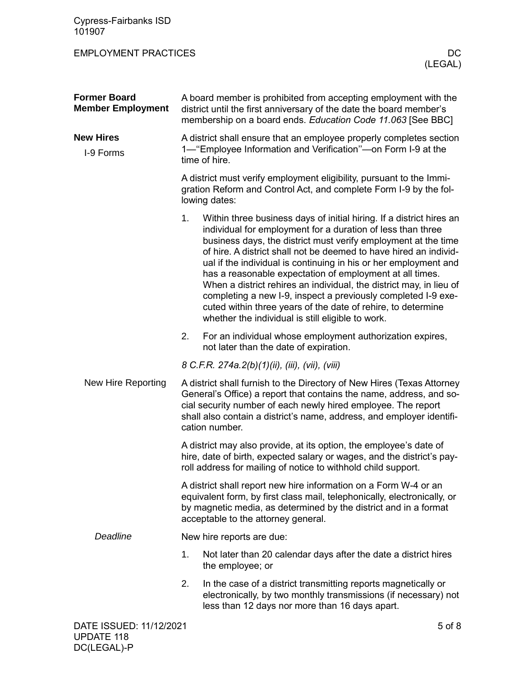| <b>Cypress-Fairbanks ISD</b><br>101907          |                                                                                                                                                                                                                                                                                                           |                                                                                                                                                                                                                                                                                                                                                                                                                                                                                                                                                                                                                                                                         |  |  |  |
|-------------------------------------------------|-----------------------------------------------------------------------------------------------------------------------------------------------------------------------------------------------------------------------------------------------------------------------------------------------------------|-------------------------------------------------------------------------------------------------------------------------------------------------------------------------------------------------------------------------------------------------------------------------------------------------------------------------------------------------------------------------------------------------------------------------------------------------------------------------------------------------------------------------------------------------------------------------------------------------------------------------------------------------------------------------|--|--|--|
| <b>EMPLOYMENT PRACTICES</b>                     |                                                                                                                                                                                                                                                                                                           | DC<br>(LEGAL)                                                                                                                                                                                                                                                                                                                                                                                                                                                                                                                                                                                                                                                           |  |  |  |
| <b>Former Board</b><br><b>Member Employment</b> |                                                                                                                                                                                                                                                                                                           | A board member is prohibited from accepting employment with the<br>district until the first anniversary of the date the board member's<br>membership on a board ends. Education Code 11.063 [See BBC]                                                                                                                                                                                                                                                                                                                                                                                                                                                                   |  |  |  |
| <b>New Hires</b><br>I-9 Forms                   | A district shall ensure that an employee properly completes section<br>1— "Employee Information and Verification"—on Form I-9 at the<br>time of hire.                                                                                                                                                     |                                                                                                                                                                                                                                                                                                                                                                                                                                                                                                                                                                                                                                                                         |  |  |  |
|                                                 | A district must verify employment eligibility, pursuant to the Immi-<br>gration Reform and Control Act, and complete Form I-9 by the fol-<br>lowing dates:                                                                                                                                                |                                                                                                                                                                                                                                                                                                                                                                                                                                                                                                                                                                                                                                                                         |  |  |  |
|                                                 | 1.                                                                                                                                                                                                                                                                                                        | Within three business days of initial hiring. If a district hires an<br>individual for employment for a duration of less than three<br>business days, the district must verify employment at the time<br>of hire. A district shall not be deemed to have hired an individ-<br>ual if the individual is continuing in his or her employment and<br>has a reasonable expectation of employment at all times.<br>When a district rehires an individual, the district may, in lieu of<br>completing a new I-9, inspect a previously completed I-9 exe-<br>cuted within three years of the date of rehire, to determine<br>whether the individual is still eligible to work. |  |  |  |
|                                                 | 2.                                                                                                                                                                                                                                                                                                        | For an individual whose employment authorization expires,<br>not later than the date of expiration.                                                                                                                                                                                                                                                                                                                                                                                                                                                                                                                                                                     |  |  |  |
|                                                 |                                                                                                                                                                                                                                                                                                           | 8 C.F.R. 274a.2(b)(1)(ii), (iii), (vii), (viii)                                                                                                                                                                                                                                                                                                                                                                                                                                                                                                                                                                                                                         |  |  |  |
| New Hire Reporting                              | A district shall furnish to the Directory of New Hires (Texas Attorney<br>General's Office) a report that contains the name, address, and so-<br>cial security number of each newly hired employee. The report<br>shall also contain a district's name, address, and employer identifi-<br>cation number. |                                                                                                                                                                                                                                                                                                                                                                                                                                                                                                                                                                                                                                                                         |  |  |  |
|                                                 | A district may also provide, at its option, the employee's date of<br>hire, date of birth, expected salary or wages, and the district's pay-<br>roll address for mailing of notice to withhold child support.                                                                                             |                                                                                                                                                                                                                                                                                                                                                                                                                                                                                                                                                                                                                                                                         |  |  |  |
|                                                 | A district shall report new hire information on a Form W-4 or an<br>equivalent form, by first class mail, telephonically, electronically, or<br>by magnetic media, as determined by the district and in a format<br>acceptable to the attorney general.                                                   |                                                                                                                                                                                                                                                                                                                                                                                                                                                                                                                                                                                                                                                                         |  |  |  |
| Deadline                                        |                                                                                                                                                                                                                                                                                                           | New hire reports are due:                                                                                                                                                                                                                                                                                                                                                                                                                                                                                                                                                                                                                                               |  |  |  |
|                                                 | 1.                                                                                                                                                                                                                                                                                                        | Not later than 20 calendar days after the date a district hires<br>the employee; or                                                                                                                                                                                                                                                                                                                                                                                                                                                                                                                                                                                     |  |  |  |
|                                                 | 2.                                                                                                                                                                                                                                                                                                        | In the case of a district transmitting reports magnetically or<br>electronically, by two monthly transmissions (if necessary) not<br>less than 12 days nor more than 16 days apart.                                                                                                                                                                                                                                                                                                                                                                                                                                                                                     |  |  |  |
| DATE ISSUED: 11/12/2021                         |                                                                                                                                                                                                                                                                                                           | $5$ of $8$                                                                                                                                                                                                                                                                                                                                                                                                                                                                                                                                                                                                                                                              |  |  |  |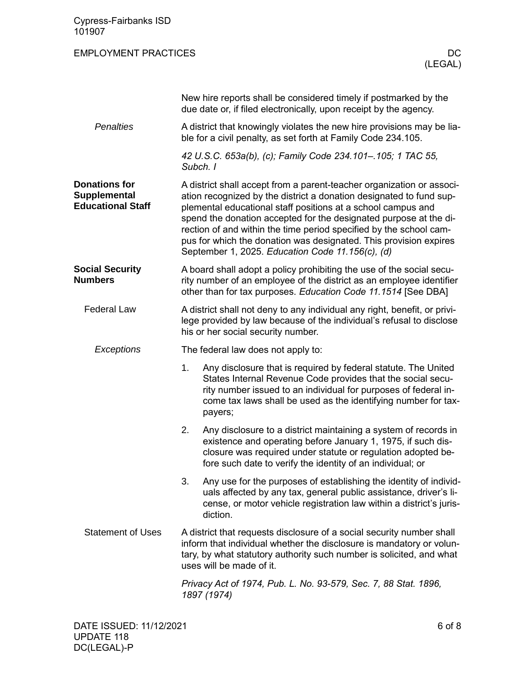| <b>Cypress-Fairbanks ISD</b><br>101907                                  |                                                                                                                                                                                                                                                                                                                                                                                                                                                                                  |                                                                                                                                                                                                                                                                               |  |  |
|-------------------------------------------------------------------------|----------------------------------------------------------------------------------------------------------------------------------------------------------------------------------------------------------------------------------------------------------------------------------------------------------------------------------------------------------------------------------------------------------------------------------------------------------------------------------|-------------------------------------------------------------------------------------------------------------------------------------------------------------------------------------------------------------------------------------------------------------------------------|--|--|
| <b>EMPLOYMENT PRACTICES</b>                                             |                                                                                                                                                                                                                                                                                                                                                                                                                                                                                  | DC.<br>(LEGAL)                                                                                                                                                                                                                                                                |  |  |
|                                                                         |                                                                                                                                                                                                                                                                                                                                                                                                                                                                                  | New hire reports shall be considered timely if postmarked by the<br>due date or, if filed electronically, upon receipt by the agency.                                                                                                                                         |  |  |
| <b>Penalties</b>                                                        |                                                                                                                                                                                                                                                                                                                                                                                                                                                                                  | A district that knowingly violates the new hire provisions may be lia-<br>ble for a civil penalty, as set forth at Family Code 234.105.                                                                                                                                       |  |  |
|                                                                         | Subch. I                                                                                                                                                                                                                                                                                                                                                                                                                                                                         | 42 U.S.C. 653a(b), (c); Family Code 234.101-.105; 1 TAC 55,                                                                                                                                                                                                                   |  |  |
| <b>Donations for</b><br><b>Supplemental</b><br><b>Educational Staff</b> | A district shall accept from a parent-teacher organization or associ-<br>ation recognized by the district a donation designated to fund sup-<br>plemental educational staff positions at a school campus and<br>spend the donation accepted for the designated purpose at the di-<br>rection of and within the time period specified by the school cam-<br>pus for which the donation was designated. This provision expires<br>September 1, 2025. Education Code 11.156(c), (d) |                                                                                                                                                                                                                                                                               |  |  |
| <b>Social Security</b><br><b>Numbers</b>                                | A board shall adopt a policy prohibiting the use of the social secu-<br>rity number of an employee of the district as an employee identifier<br>other than for tax purposes. Education Code 11.1514 [See DBA]                                                                                                                                                                                                                                                                    |                                                                                                                                                                                                                                                                               |  |  |
| <b>Federal Law</b>                                                      | A district shall not deny to any individual any right, benefit, or privi-<br>lege provided by law because of the individual's refusal to disclose<br>his or her social security number.                                                                                                                                                                                                                                                                                          |                                                                                                                                                                                                                                                                               |  |  |
| Exceptions                                                              | The federal law does not apply to:                                                                                                                                                                                                                                                                                                                                                                                                                                               |                                                                                                                                                                                                                                                                               |  |  |
|                                                                         | 1.                                                                                                                                                                                                                                                                                                                                                                                                                                                                               | Any disclosure that is required by federal statute. The United<br>States Internal Revenue Code provides that the social secu-<br>rity number issued to an individual for purposes of federal in-<br>come tax laws shall be used as the identifying number for tax-<br>payers; |  |  |
|                                                                         | 2.                                                                                                                                                                                                                                                                                                                                                                                                                                                                               | Any disclosure to a district maintaining a system of records in<br>existence and operating before January 1, 1975, if such dis-<br>closure was required under statute or regulation adopted be-<br>fore such date to verify the identity of an individual; or                 |  |  |
|                                                                         | 3.                                                                                                                                                                                                                                                                                                                                                                                                                                                                               | Any use for the purposes of establishing the identity of individ-<br>uals affected by any tax, general public assistance, driver's li-<br>cense, or motor vehicle registration law within a district's juris-<br>diction.                                                     |  |  |
| <b>Statement of Uses</b>                                                | A district that requests disclosure of a social security number shall<br>inform that individual whether the disclosure is mandatory or volun-<br>tary, by what statutory authority such number is solicited, and what<br>uses will be made of it.                                                                                                                                                                                                                                |                                                                                                                                                                                                                                                                               |  |  |
|                                                                         |                                                                                                                                                                                                                                                                                                                                                                                                                                                                                  | Privacy Act of 1974, Pub. L. No. 93-579, Sec. 7, 88 Stat. 1896,<br>1897 (1974)                                                                                                                                                                                                |  |  |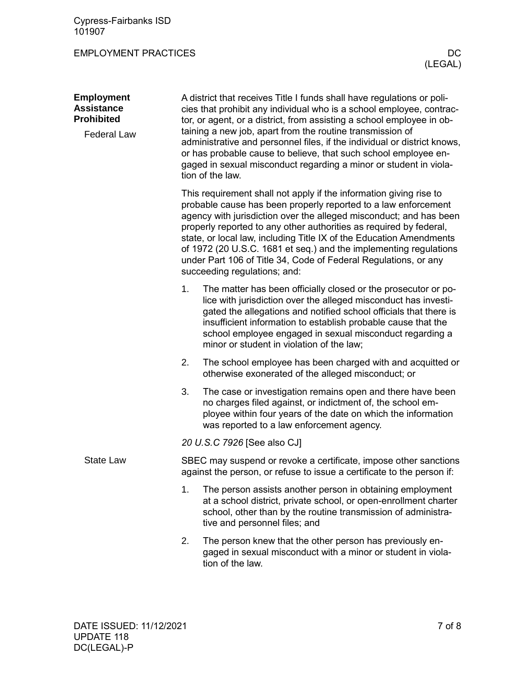Cypress-Fairbanks ISD 101907

EMPLOYMENT PRACTICES DC

| <b>Employment</b><br><b>Assistance</b><br><b>Prohibited</b><br><b>Federal Law</b> | A district that receives Title I funds shall have regulations or poli-<br>cies that prohibit any individual who is a school employee, contrac-<br>tor, or agent, or a district, from assisting a school employee in ob-<br>taining a new job, apart from the routine transmission of<br>administrative and personnel files, if the individual or district knows,<br>or has probable cause to believe, that such school employee en-<br>gaged in sexual misconduct regarding a minor or student in viola-<br>tion of the law. |                                                                                                                                                                                                                                                                                                                                                                                                                                                                                                                                 |  |  |  |
|-----------------------------------------------------------------------------------|------------------------------------------------------------------------------------------------------------------------------------------------------------------------------------------------------------------------------------------------------------------------------------------------------------------------------------------------------------------------------------------------------------------------------------------------------------------------------------------------------------------------------|---------------------------------------------------------------------------------------------------------------------------------------------------------------------------------------------------------------------------------------------------------------------------------------------------------------------------------------------------------------------------------------------------------------------------------------------------------------------------------------------------------------------------------|--|--|--|
|                                                                                   |                                                                                                                                                                                                                                                                                                                                                                                                                                                                                                                              | This requirement shall not apply if the information giving rise to<br>probable cause has been properly reported to a law enforcement<br>agency with jurisdiction over the alleged misconduct; and has been<br>properly reported to any other authorities as required by federal,<br>state, or local law, including Title IX of the Education Amendments<br>of 1972 (20 U.S.C. 1681 et seq.) and the implementing regulations<br>under Part 106 of Title 34, Code of Federal Regulations, or any<br>succeeding regulations; and: |  |  |  |
|                                                                                   | 1.                                                                                                                                                                                                                                                                                                                                                                                                                                                                                                                           | The matter has been officially closed or the prosecutor or po-<br>lice with jurisdiction over the alleged misconduct has investi-<br>gated the allegations and notified school officials that there is<br>insufficient information to establish probable cause that the<br>school employee engaged in sexual misconduct regarding a<br>minor or student in violation of the law;                                                                                                                                                |  |  |  |
|                                                                                   | 2.                                                                                                                                                                                                                                                                                                                                                                                                                                                                                                                           | The school employee has been charged with and acquitted or<br>otherwise exonerated of the alleged misconduct; or                                                                                                                                                                                                                                                                                                                                                                                                                |  |  |  |
|                                                                                   | 3.                                                                                                                                                                                                                                                                                                                                                                                                                                                                                                                           | The case or investigation remains open and there have been<br>no charges filed against, or indictment of, the school em-<br>ployee within four years of the date on which the information<br>was reported to a law enforcement agency.                                                                                                                                                                                                                                                                                          |  |  |  |
|                                                                                   | 20 U.S.C 7926 [See also CJ]                                                                                                                                                                                                                                                                                                                                                                                                                                                                                                  |                                                                                                                                                                                                                                                                                                                                                                                                                                                                                                                                 |  |  |  |
| <b>State Law</b>                                                                  | SBEC may suspend or revoke a certificate, impose other sanctions<br>against the person, or refuse to issue a certificate to the person if:                                                                                                                                                                                                                                                                                                                                                                                   |                                                                                                                                                                                                                                                                                                                                                                                                                                                                                                                                 |  |  |  |
|                                                                                   | 1.                                                                                                                                                                                                                                                                                                                                                                                                                                                                                                                           | The person assists another person in obtaining employment<br>at a school district, private school, or open-enrollment charter<br>school, other than by the routine transmission of administra-<br>tive and personnel files; and                                                                                                                                                                                                                                                                                                 |  |  |  |
|                                                                                   | 2.                                                                                                                                                                                                                                                                                                                                                                                                                                                                                                                           | The person knew that the other person has previously en-<br>gaged in sexual misconduct with a minor or student in viola-<br>tion of the law.                                                                                                                                                                                                                                                                                                                                                                                    |  |  |  |